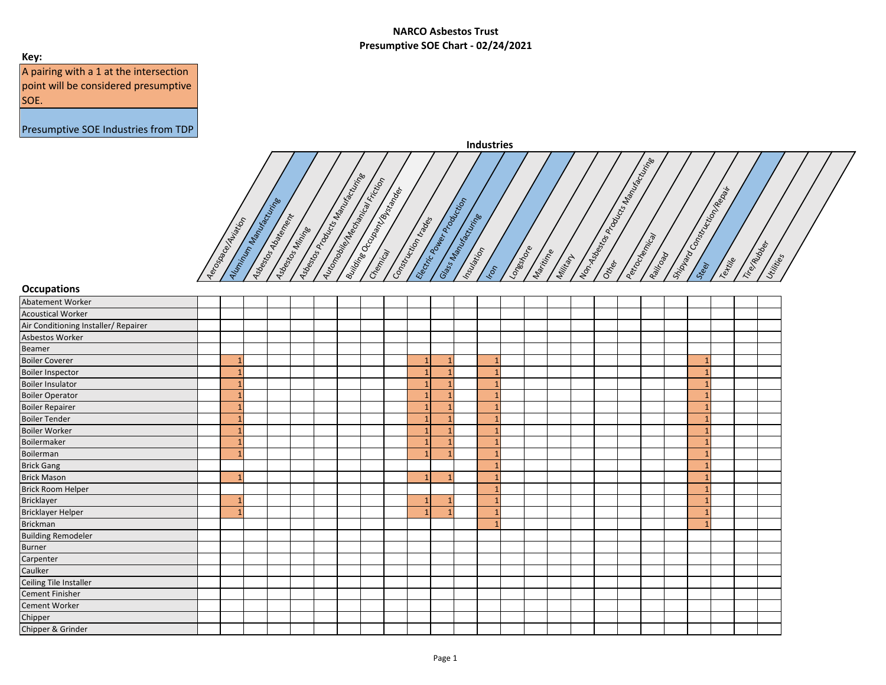## **Key:**

A pairing with a 1 at the intersection point will be considered presumptive SOE.



| <b>Occupations</b>                   |  |  |  |  |                |  |              |  |  |  |  |  |  |
|--------------------------------------|--|--|--|--|----------------|--|--------------|--|--|--|--|--|--|
| Abatement Worker                     |  |  |  |  |                |  |              |  |  |  |  |  |  |
| <b>Acoustical Worker</b>             |  |  |  |  |                |  |              |  |  |  |  |  |  |
| Air Conditioning Installer/ Repairer |  |  |  |  |                |  |              |  |  |  |  |  |  |
| Asbestos Worker                      |  |  |  |  |                |  |              |  |  |  |  |  |  |
| Beamer                               |  |  |  |  |                |  |              |  |  |  |  |  |  |
| <b>Boiler Coverer</b>                |  |  |  |  | $\mathbf{1}$   |  |              |  |  |  |  |  |  |
| <b>Boiler Inspector</b>              |  |  |  |  | $\mathbf{1}$   |  |              |  |  |  |  |  |  |
| <b>Boiler Insulator</b>              |  |  |  |  | $\mathbf{1}$   |  | $\mathbf{1}$ |  |  |  |  |  |  |
| <b>Boiler Operator</b>               |  |  |  |  |                |  |              |  |  |  |  |  |  |
| <b>Boiler Repairer</b>               |  |  |  |  | $\mathbf{1}$   |  |              |  |  |  |  |  |  |
| <b>Boiler Tender</b>                 |  |  |  |  | $\mathbf{1}$   |  |              |  |  |  |  |  |  |
| <b>Boiler Worker</b>                 |  |  |  |  | $\mathbf{1}$   |  |              |  |  |  |  |  |  |
| Boilermaker                          |  |  |  |  |                |  |              |  |  |  |  |  |  |
| Boilerman                            |  |  |  |  | $\mathbf{1}$   |  |              |  |  |  |  |  |  |
| <b>Brick Gang</b>                    |  |  |  |  |                |  |              |  |  |  |  |  |  |
| <b>Brick Mason</b>                   |  |  |  |  | $\overline{1}$ |  |              |  |  |  |  |  |  |
| <b>Brick Room Helper</b>             |  |  |  |  |                |  |              |  |  |  |  |  |  |
| Bricklayer                           |  |  |  |  |                |  |              |  |  |  |  |  |  |
| Bricklayer Helper                    |  |  |  |  |                |  |              |  |  |  |  |  |  |
| <b>Brickman</b>                      |  |  |  |  |                |  | $\mathbf{1}$ |  |  |  |  |  |  |
| <b>Building Remodeler</b>            |  |  |  |  |                |  |              |  |  |  |  |  |  |
| <b>Burner</b>                        |  |  |  |  |                |  |              |  |  |  |  |  |  |
| Carpenter                            |  |  |  |  |                |  |              |  |  |  |  |  |  |
| Caulker                              |  |  |  |  |                |  |              |  |  |  |  |  |  |
| Ceiling Tile Installer               |  |  |  |  |                |  |              |  |  |  |  |  |  |
| <b>Cement Finisher</b>               |  |  |  |  |                |  |              |  |  |  |  |  |  |
| Cement Worker                        |  |  |  |  |                |  |              |  |  |  |  |  |  |
| Chipper                              |  |  |  |  |                |  |              |  |  |  |  |  |  |
| Chipper & Grinder                    |  |  |  |  |                |  |              |  |  |  |  |  |  |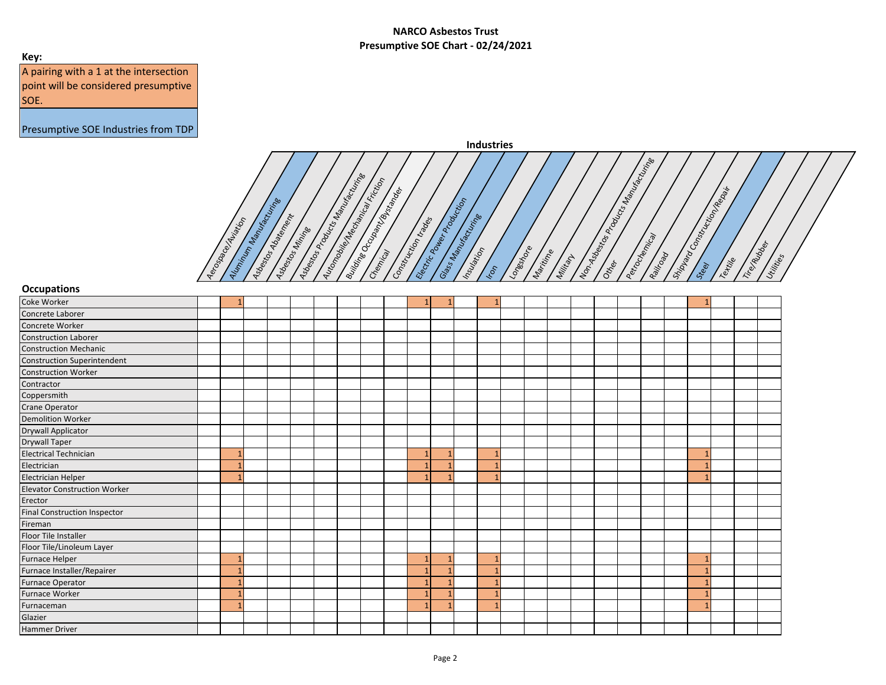## **Key:**

A pairing with a 1 at the intersection point will be considered presumptive SOE.

|           | <b>Industries</b>                                                                                                                                                                                                                                                                                                                                                                                                                                                                                                                                                                                                                                |
|-----------|--------------------------------------------------------------------------------------------------------------------------------------------------------------------------------------------------------------------------------------------------------------------------------------------------------------------------------------------------------------------------------------------------------------------------------------------------------------------------------------------------------------------------------------------------------------------------------------------------------------------------------------------------|
| Aerosacec | Miring<br><b>Manufacturing</b><br>$\sqrt{\sigma}$<br>Machanical Friction<br>Manux<br>Repair<br>Bycanoes<br>Production<br>Manufacturine<br>$\mathcal{L}$<br>tion<br>Product<br>Abatement<br>Isortinipe<br>trades<br>Aviation<br>Products<br>Occupant<br>$\mathcal{S}$<br>Miritia<br>onstr<br>.õ<br>Electric Pour<br>Non-Asbesta<br>Construction<br>Perrocincia<br>Automobile<br>Manus<br>Trito Rubber<br>Longstrone<br>C<br>Aluminum<br>Insulation<br>Martitime<br>Asbeckbas<br>1 <sub>SOeStro</sub><br>Asbecks<br>Themical<br>Shippard<br>8 Uildine<br>Railtoga<br>Milliam<br>Utilities<br>Textile<br>Glass<br>Other<br>Steel<br>$\mathcal{C}_2$ |

| <b>Occupations</b>                  |  |  |  |  |              |                |                |  |  |  |  |  |  |
|-------------------------------------|--|--|--|--|--------------|----------------|----------------|--|--|--|--|--|--|
| Coke Worker                         |  |  |  |  |              |                |                |  |  |  |  |  |  |
| Concrete Laborer                    |  |  |  |  |              |                |                |  |  |  |  |  |  |
| Concrete Worker                     |  |  |  |  |              |                |                |  |  |  |  |  |  |
| <b>Construction Laborer</b>         |  |  |  |  |              |                |                |  |  |  |  |  |  |
| <b>Construction Mechanic</b>        |  |  |  |  |              |                |                |  |  |  |  |  |  |
| <b>Construction Superintendent</b>  |  |  |  |  |              |                |                |  |  |  |  |  |  |
| <b>Construction Worker</b>          |  |  |  |  |              |                |                |  |  |  |  |  |  |
| Contractor                          |  |  |  |  |              |                |                |  |  |  |  |  |  |
| Coppersmith                         |  |  |  |  |              |                |                |  |  |  |  |  |  |
| Crane Operator                      |  |  |  |  |              |                |                |  |  |  |  |  |  |
| <b>Demolition Worker</b>            |  |  |  |  |              |                |                |  |  |  |  |  |  |
| Drywall Applicator                  |  |  |  |  |              |                |                |  |  |  |  |  |  |
| <b>Drywall Taper</b>                |  |  |  |  |              |                |                |  |  |  |  |  |  |
| <b>Electrical Technician</b>        |  |  |  |  | $\mathbf{1}$ | -1             | $\mathbf{1}$   |  |  |  |  |  |  |
| Electrician                         |  |  |  |  | $\mathbf{1}$ | и              | $\mathbf{1}$   |  |  |  |  |  |  |
| Electrician Helper                  |  |  |  |  |              |                |                |  |  |  |  |  |  |
| <b>Elevator Construction Worker</b> |  |  |  |  |              |                |                |  |  |  |  |  |  |
| Erector                             |  |  |  |  |              |                |                |  |  |  |  |  |  |
| <b>Final Construction Inspector</b> |  |  |  |  |              |                |                |  |  |  |  |  |  |
| Fireman                             |  |  |  |  |              |                |                |  |  |  |  |  |  |
| Floor Tile Installer                |  |  |  |  |              |                |                |  |  |  |  |  |  |
| Floor Tile/Linoleum Layer           |  |  |  |  |              |                |                |  |  |  |  |  |  |
| Furnace Helper                      |  |  |  |  | $\mathbf{1}$ | $\overline{1}$ | $\overline{1}$ |  |  |  |  |  |  |
| Furnace Installer/Repairer          |  |  |  |  |              |                |                |  |  |  |  |  |  |
| Furnace Operator                    |  |  |  |  | 1            |                |                |  |  |  |  |  |  |
| Furnace Worker                      |  |  |  |  | $\mathbf{1}$ |                | $\overline{ }$ |  |  |  |  |  |  |
| Furnaceman                          |  |  |  |  | $\mathbf{1}$ | и              | $\overline{1}$ |  |  |  |  |  |  |
| Glazier                             |  |  |  |  |              |                |                |  |  |  |  |  |  |
| <b>Hammer Driver</b>                |  |  |  |  |              |                |                |  |  |  |  |  |  |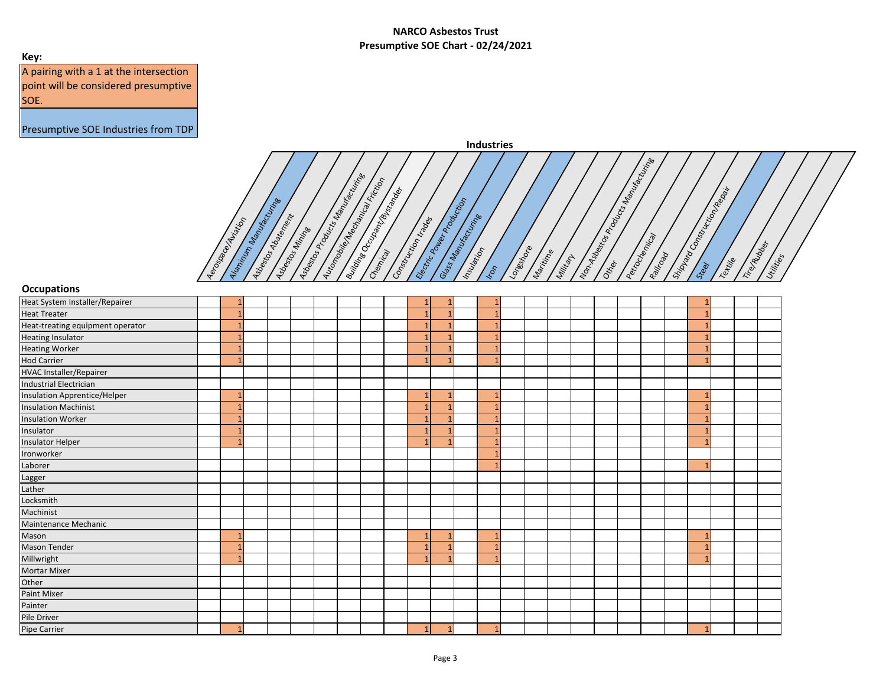## **Key:**

A pairing with a 1 at the intersection point will be considered presumptive SOE.



| <b>Occupations</b>                  |              |  |  |  |                |                 |                |  |  |  |  |              |  |  |
|-------------------------------------|--------------|--|--|--|----------------|-----------------|----------------|--|--|--|--|--------------|--|--|
| Heat System Installer/Repairer      |              |  |  |  | 1              |                 |                |  |  |  |  |              |  |  |
| <b>Heat Treater</b>                 | $\mathbf{1}$ |  |  |  | $\mathbf{1}$   |                 | $\mathbf{1}$   |  |  |  |  |              |  |  |
| Heat-treating equipment operator    | $\mathbf{1}$ |  |  |  | $\mathbf{1}$   |                 | $\mathbf{1}$   |  |  |  |  |              |  |  |
| <b>Heating Insulator</b>            | 1            |  |  |  | $\overline{1}$ |                 | $\overline{1}$ |  |  |  |  |              |  |  |
| <b>Heating Worker</b>               | 1            |  |  |  | $\mathbf{1}$   |                 | 1              |  |  |  |  |              |  |  |
| <b>Hod Carrier</b>                  | 1            |  |  |  | $\mathbf{1}$   |                 |                |  |  |  |  |              |  |  |
| <b>HVAC Installer/Repairer</b>      |              |  |  |  |                |                 |                |  |  |  |  |              |  |  |
| <b>Industrial Electrician</b>       |              |  |  |  |                |                 |                |  |  |  |  |              |  |  |
| <b>Insulation Apprentice/Helper</b> | 1            |  |  |  | $\mathbf{1}$   |                 | $\mathbf{1}$   |  |  |  |  |              |  |  |
| <b>Insulation Machinist</b>         | 1            |  |  |  | $\mathbf{1}$   |                 | $\overline{1}$ |  |  |  |  |              |  |  |
| <b>Insulation Worker</b>            | $\mathbf{1}$ |  |  |  | $\mathbf{1}$   |                 | $\mathbf{1}$   |  |  |  |  |              |  |  |
| Insulator                           | 1            |  |  |  | $\overline{1}$ |                 |                |  |  |  |  |              |  |  |
| <b>Insulator Helper</b>             | 1            |  |  |  | $\overline{1}$ |                 | $\mathbf{1}$   |  |  |  |  |              |  |  |
| Ironworker                          |              |  |  |  |                |                 | $\mathbf{1}$   |  |  |  |  |              |  |  |
| Laborer                             |              |  |  |  |                |                 | $\mathbf{1}$   |  |  |  |  |              |  |  |
| Lagger                              |              |  |  |  |                |                 |                |  |  |  |  |              |  |  |
| Lather                              |              |  |  |  |                |                 |                |  |  |  |  |              |  |  |
| Locksmith                           |              |  |  |  |                |                 |                |  |  |  |  |              |  |  |
| Machinist                           |              |  |  |  |                |                 |                |  |  |  |  |              |  |  |
| Maintenance Mechanic                |              |  |  |  |                |                 |                |  |  |  |  |              |  |  |
| Mason                               | $\mathbf{1}$ |  |  |  | $\mathbf{1}$   |                 | $\mathbf{1}$   |  |  |  |  |              |  |  |
| <b>Mason Tender</b>                 |              |  |  |  | $\mathbf{1}$   |                 | $\mathbf{1}$   |  |  |  |  |              |  |  |
| Millwright                          | $\mathbf{1}$ |  |  |  | $\overline{1}$ |                 | $\mathbf{1}$   |  |  |  |  |              |  |  |
| Mortar Mixer                        |              |  |  |  |                |                 |                |  |  |  |  |              |  |  |
| Other                               |              |  |  |  |                |                 |                |  |  |  |  |              |  |  |
| Paint Mixer                         |              |  |  |  |                |                 |                |  |  |  |  |              |  |  |
| Painter                             |              |  |  |  |                |                 |                |  |  |  |  |              |  |  |
| Pile Driver                         |              |  |  |  |                |                 |                |  |  |  |  |              |  |  |
| Pipe Carrier                        | $\mathbf{1}$ |  |  |  | 1              | $1\overline{ }$ | $\mathbf{1}$   |  |  |  |  | $\mathbf{1}$ |  |  |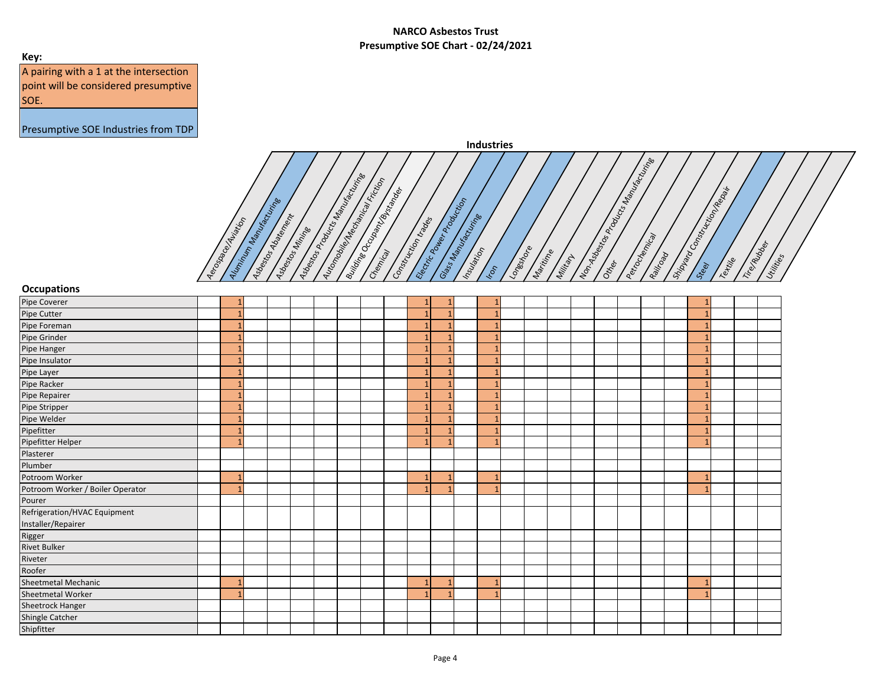## **Key:**

A pairing with a 1 at the intersection point will be considered presumptive SOE.



| <b>Occupations</b>               |  |  |  |  |                |  |                |  |  |  |  |  |  |
|----------------------------------|--|--|--|--|----------------|--|----------------|--|--|--|--|--|--|
| Pipe Coverer                     |  |  |  |  | 1              |  |                |  |  |  |  |  |  |
| Pipe Cutter                      |  |  |  |  | $\mathbf{1}$   |  | $\mathbf{1}$   |  |  |  |  |  |  |
| Pipe Foreman                     |  |  |  |  | $\mathbf{1}$   |  | $\mathbf{1}$   |  |  |  |  |  |  |
| Pipe Grinder                     |  |  |  |  | $\mathbf{1}$   |  |                |  |  |  |  |  |  |
| Pipe Hanger                      |  |  |  |  | $\mathbf{1}$   |  |                |  |  |  |  |  |  |
| Pipe Insulator                   |  |  |  |  | $\mathbf{1}$   |  |                |  |  |  |  |  |  |
| Pipe Layer                       |  |  |  |  | $\mathbf{1}$   |  | $\mathbf{1}$   |  |  |  |  |  |  |
| Pipe Racker                      |  |  |  |  | $\mathbf{1}$   |  |                |  |  |  |  |  |  |
| Pipe Repairer                    |  |  |  |  | $\mathbf{1}$   |  |                |  |  |  |  |  |  |
| Pipe Stripper                    |  |  |  |  | -1             |  |                |  |  |  |  |  |  |
| Pipe Welder                      |  |  |  |  | $\mathbf{1}$   |  | $\overline{1}$ |  |  |  |  |  |  |
| Pipefitter                       |  |  |  |  | $\mathbf{1}$   |  |                |  |  |  |  |  |  |
| Pipefitter Helper                |  |  |  |  | $\overline{1}$ |  |                |  |  |  |  |  |  |
| Plasterer                        |  |  |  |  |                |  |                |  |  |  |  |  |  |
| Plumber                          |  |  |  |  |                |  |                |  |  |  |  |  |  |
| Potroom Worker                   |  |  |  |  | -1             |  | $\overline{1}$ |  |  |  |  |  |  |
| Potroom Worker / Boiler Operator |  |  |  |  | $\overline{1}$ |  |                |  |  |  |  |  |  |
| Pourer                           |  |  |  |  |                |  |                |  |  |  |  |  |  |
| Refrigeration/HVAC Equipment     |  |  |  |  |                |  |                |  |  |  |  |  |  |
| Installer/Repairer               |  |  |  |  |                |  |                |  |  |  |  |  |  |
| Rigger                           |  |  |  |  |                |  |                |  |  |  |  |  |  |
| <b>Rivet Bulker</b>              |  |  |  |  |                |  |                |  |  |  |  |  |  |
| Riveter                          |  |  |  |  |                |  |                |  |  |  |  |  |  |
| Roofer                           |  |  |  |  |                |  |                |  |  |  |  |  |  |
| Sheetmetal Mechanic              |  |  |  |  | $\mathbf{1}$   |  |                |  |  |  |  |  |  |
| Sheetmetal Worker                |  |  |  |  | $\overline{1}$ |  |                |  |  |  |  |  |  |
| Sheetrock Hanger                 |  |  |  |  |                |  |                |  |  |  |  |  |  |
| Shingle Catcher                  |  |  |  |  |                |  |                |  |  |  |  |  |  |
| Shipfitter                       |  |  |  |  |                |  |                |  |  |  |  |  |  |